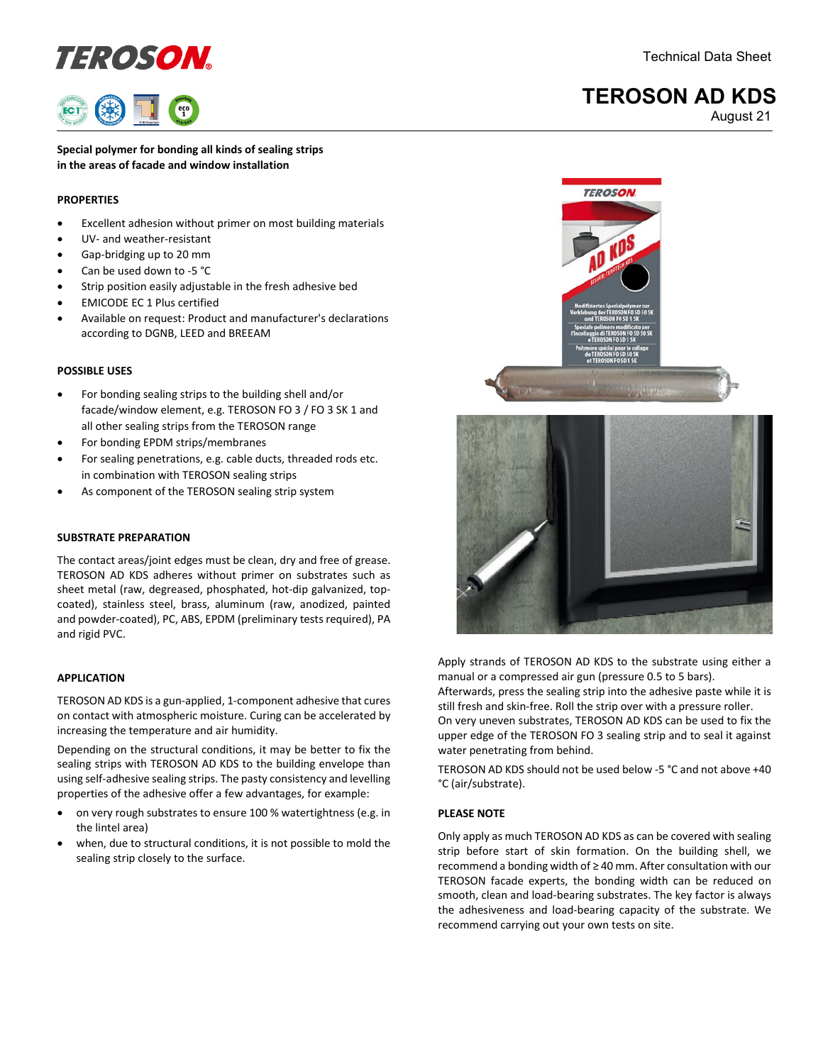## definition of the Control of the Control of the Control of the Control of the Control of the Control of the Control of the Control of the Control of the Control of the Control of the Control of the Control of the Control o

### **TEROSON AD KDS**

August 21

**Special polymer for bonding all kinds of sealing strips in the areas of facade and window installation**

#### **PROPERTIES**

- Excellent adhesion without primer on most building materials
- UV- and weather-resistant
- Gap-bridging up to 20 mm
- Can be used down to -5 °C
- Strip position easily adjustable in the fresh adhesive bed
- EMICODE EC 1 Plus certified
- Available on request: Product and manufacturer's declarations according to DGNB, LEED and BREEAM

#### **POSSIBLE USES**

- For bonding sealing strips to the building shell and/or facade/window element, e.g. TEROSON FO 3 / FO 3 SK 1 and all other sealing strips from the TEROSON range
- For bonding EPDM strips/membranes
- For sealing penetrations, e.g. cable ducts, threaded rods etc. in combination with TEROSON sealing strips
- As component of the TEROSON sealing strip system

#### **SUBSTRATE PREPARATION**

The contact areas/joint edges must be clean, dry and free of grease. TEROSON AD KDS adheres without primer on substrates such as sheet metal (raw, degreased, phosphated, hot-dip galvanized, topcoated), stainless steel, brass, aluminum (raw, anodized, painted and powder-coated), PC, ABS, EPDM (preliminary tests required), PA and rigid PVC.

#### **APPLICATION**

TEROSON AD KDS is a gun-applied, 1-component adhesive that cures on contact with atmospheric moisture. Curing can be accelerated by increasing the temperature and air humidity.

Depending on the structural conditions, it may be better to fix the sealing strips with TEROSON AD KDS to the building envelope than using self-adhesive sealing strips. The pasty consistency and levelling properties of the adhesive offer a few advantages, for example:

- on very rough substrates to ensure 100 % watertightness (e.g. in the lintel area)
- when, due to structural conditions, it is not possible to mold the sealing strip closely to the surface.





Apply strands of TEROSON AD KDS to the substrate using either a manual or a compressed air gun (pressure 0.5 to 5 bars).

Afterwards, press the sealing strip into the adhesive paste while it is still fresh and skin-free. Roll the strip over with a pressure roller. On very uneven substrates, TEROSON AD KDS can be used to fix the

upper edge of the TEROSON FO 3 sealing strip and to seal it against water penetrating from behind.

TEROSON AD KDS should not be used below -5 °C and not above +40 °C (air/substrate).

#### **PLEASE NOTE**

Only apply as much TEROSON AD KDS as can be covered with sealing strip before start of skin formation. On the building shell, we recommend a bonding width of ≥ 40 mm. After consultation with our TEROSON facade experts, the bonding width can be reduced on smooth, clean and load-bearing substrates. The key factor is always the adhesiveness and load-bearing capacity of the substrate. We recommend carrying out your own tests on site.